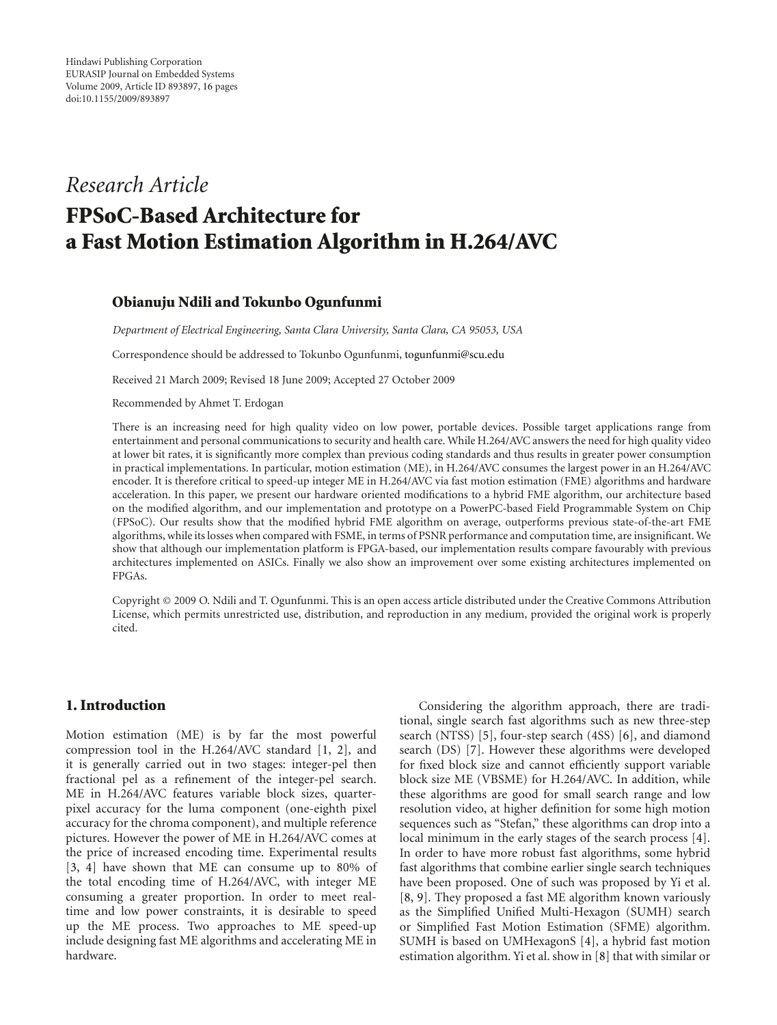# *Research Article* **FPSoC-Based Architecture for a Fast Motion Estimation Algorithm in H.264/AVC**

### **Obianuju Ndili and Tokunbo Ogunfunmi**

*Department of Electrical Engineering, Santa Clara University, Santa Clara, CA 95053, USA*

Correspondence should be addressed to Tokunbo Ogunfunmi, togunfunmi@scu.edu

Received 21 March 2009; Revised 18 June 2009; Accepted 27 October 2009

Recommended by Ahmet T. Erdogan

There is an increasing need for high quality video on low power, portable devices. Possible target applications range from entertainment and personal communications to security and health care. While H.264/AVC answers the need for high quality video at lower bit rates, it is significantly more complex than previous coding standards and thus results in greater power consumption in practical implementations. In particular, motion estimation (ME), in H.264/AVC consumes the largest power in an H.264/AVC encoder. It is therefore critical to speed-up integer ME in H.264/AVC via fast motion estimation (FME) algorithms and hardware acceleration. In this paper, we present our hardware oriented modifications to a hybrid FME algorithm, our architecture based on the modified algorithm, and our implementation and prototype on a PowerPC-based Field Programmable System on Chip (FPSoC). Our results show that the modified hybrid FME algorithm on average, outperforms previous state-of-the-art FME algorithms, while its losses when compared with FSME, in terms of PSNR performance and computation time, are insignificant. We show that although our implementation platform is FPGA-based, our implementation results compare favourably with previous architectures implemented on ASICs. Finally we also show an improvement over some existing architectures implemented on FPGAs.

Copyright © 2009 O. Ndili and T. Ogunfunmi. This is an open access article distributed under the Creative Commons Attribution License, which permits unrestricted use, distribution, and reproduction in any medium, provided the original work is properly cited.

# **1. Introduction**

Motion estimation (ME) is by far the most powerful compression tool in the H.264/AVC standard [1, 2], and it is generally carried out in two stages: integer-pel then fractional pel as a refinement of the integer-pel search. ME in H.264/AVC features variable block sizes, quarterpixel accuracy for the luma component (one-eighth pixel accuracy for the chroma component), and multiple reference pictures. However the power of ME in H.264/AVC comes at the price of increased encoding time. Experimental results [3, 4] have shown that ME can consume up to 80% of the total encoding time of H.264/AVC, with integer ME consuming a greater proportion. In order to meet realtime and low power constraints, it is desirable to speed up the ME process. Two approaches to ME speed-up include designing fast ME algorithms and accelerating ME in hardware.

Considering the algorithm approach, there are traditional, single search fast algorithms such as new three-step search (NTSS) [5], four-step search (4SS) [6], and diamond search (DS) [7]. However these algorithms were developed for fixed block size and cannot efficiently support variable block size ME (VBSME) for H.264/AVC. In addition, while these algorithms are good for small search range and low resolution video, at higher definition for some high motion sequences such as "Stefan," these algorithms can drop into a local minimum in the early stages of the search process [4]. In order to have more robust fast algorithms, some hybrid fast algorithms that combine earlier single search techniques have been proposed. One of such was proposed by Yi et al. [8, 9]. They proposed a fast ME algorithm known variously as the Simplified Unified Multi-Hexagon (SUMH) search or Simplified Fast Motion Estimation (SFME) algorithm. SUMH is based on UMHexagonS [4], a hybrid fast motion estimation algorithm. Yi et al. show in [8] that with similar or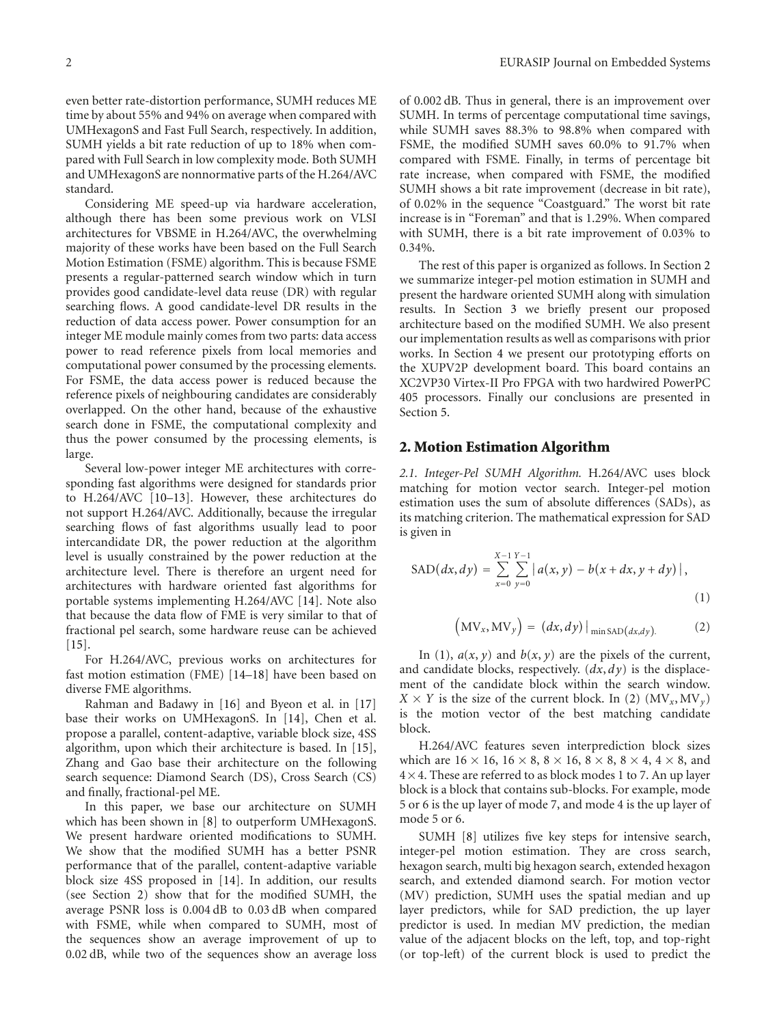even better rate-distortion performance, SUMH reduces ME time by about 55% and 94% on average when compared with UMHexagonS and Fast Full Search, respectively. In addition, SUMH yields a bit rate reduction of up to 18% when compared with Full Search in low complexity mode. Both SUMH and UMHexagonS are nonnormative parts of the H.264/AVC standard.

Considering ME speed-up via hardware acceleration, although there has been some previous work on VLSI architectures for VBSME in H.264/AVC, the overwhelming majority of these works have been based on the Full Search Motion Estimation (FSME) algorithm. This is because FSME presents a regular-patterned search window which in turn provides good candidate-level data reuse (DR) with regular searching flows. A good candidate-level DR results in the reduction of data access power. Power consumption for an integer ME module mainly comes from two parts: data access power to read reference pixels from local memories and computational power consumed by the processing elements. For FSME, the data access power is reduced because the reference pixels of neighbouring candidates are considerably overlapped. On the other hand, because of the exhaustive search done in FSME, the computational complexity and thus the power consumed by the processing elements, is large.

Several low-power integer ME architectures with corresponding fast algorithms were designed for standards prior to H.264/AVC [10–13]. However, these architectures do not support H.264/AVC. Additionally, because the irregular searching flows of fast algorithms usually lead to poor intercandidate DR, the power reduction at the algorithm level is usually constrained by the power reduction at the architecture level. There is therefore an urgent need for architectures with hardware oriented fast algorithms for portable systems implementing H.264/AVC [14]. Note also that because the data flow of FME is very similar to that of fractional pel search, some hardware reuse can be achieved  $[15]$ .

For H.264/AVC, previous works on architectures for fast motion estimation (FME) [14–18] have been based on diverse FME algorithms.

Rahman and Badawy in [16] and Byeon et al. in [17] base their works on UMHexagonS. In [14], Chen et al. propose a parallel, content-adaptive, variable block size, 4SS algorithm, upon which their architecture is based. In [15], Zhang and Gao base their architecture on the following search sequence: Diamond Search (DS), Cross Search (CS) and finally, fractional-pel ME.

In this paper, we base our architecture on SUMH which has been shown in [8] to outperform UMHexagonS. We present hardware oriented modifications to SUMH. We show that the modified SUMH has a better PSNR performance that of the parallel, content-adaptive variable block size 4SS proposed in [14]. In addition, our results (see Section 2) show that for the modified SUMH, the average PSNR loss is 0.004 dB to 0.03 dB when compared with FSME, while when compared to SUMH, most of the sequences show an average improvement of up to 0.02 dB, while two of the sequences show an average loss of 0.002 dB. Thus in general, there is an improvement over SUMH. In terms of percentage computational time savings, while SUMH saves 88.3% to 98.8% when compared with FSME, the modified SUMH saves 60.0% to 91.7% when compared with FSME. Finally, in terms of percentage bit rate increase, when compared with FSME, the modified SUMH shows a bit rate improvement (decrease in bit rate), of 0.02% in the sequence "Coastguard." The worst bit rate increase is in "Foreman" and that is 1.29%. When compared with SUMH, there is a bit rate improvement of 0.03% to 0.34%.

The rest of this paper is organized as follows. In Section 2 we summarize integer-pel motion estimation in SUMH and present the hardware oriented SUMH along with simulation results. In Section 3 we briefly present our proposed architecture based on the modified SUMH. We also present our implementation results as well as comparisons with prior works. In Section 4 we present our prototyping efforts on the XUPV2P development board. This board contains an XC2VP30 Virtex-II Pro FPGA with two hardwired PowerPC 405 processors. Finally our conclusions are presented in Section 5.

#### **2. Motion Estimation Algorithm**

*2.1. Integer-Pel SUMH Algorithm.* H.264/AVC uses block matching for motion vector search. Integer-pel motion estimation uses the sum of absolute differences (SADs), as its matching criterion. The mathematical expression for SAD is given in

$$
SAD(dx, dy) = \sum_{x=0}^{X-1} \sum_{y=0}^{Y-1} |a(x, y) - b(x + dx, y + dy)|,
$$
\n(1)

$$
(MV_x, MV_y) = (dx, dy)|_{min\ SAD(dx, dy)}.
$$
 (2)

In (1),  $a(x, y)$  and  $b(x, y)$  are the pixels of the current, and candidate blocks, respectively. (*dx*, *dy*) is the displacement of the candidate block within the search window.  $X \times Y$  is the size of the current block. In (2)  $(MV_x, MV_y)$ is the motion vector of the best matching candidate block.

H.264/AVC features seven interprediction block sizes which are  $16 \times 16$ ,  $16 \times 8$ ,  $8 \times 16$ ,  $8 \times 8$ ,  $8 \times 4$ ,  $4 \times 8$ , and  $4 \times 4$ . These are referred to as block modes 1 to 7. An up layer block is a block that contains sub-blocks. For example, mode 5 or 6 is the up layer of mode 7, and mode 4 is the up layer of mode 5 or 6.

SUMH [8] utilizes five key steps for intensive search, integer-pel motion estimation. They are cross search, hexagon search, multi big hexagon search, extended hexagon search, and extended diamond search. For motion vector (MV) prediction, SUMH uses the spatial median and up layer predictors, while for SAD prediction, the up layer predictor is used. In median MV prediction, the median value of the adjacent blocks on the left, top, and top-right (or top-left) of the current block is used to predict the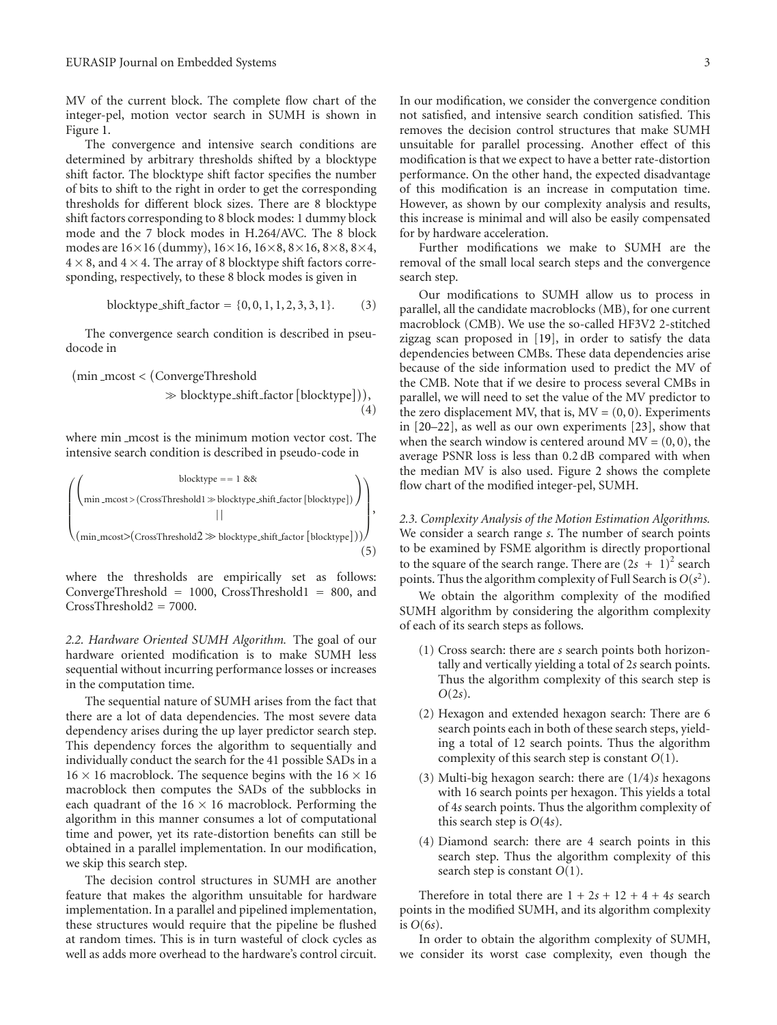MV of the current block. The complete flow chart of the integer-pel, motion vector search in SUMH is shown in Figure 1.

The convergence and intensive search conditions are determined by arbitrary thresholds shifted by a blocktype shift factor. The blocktype shift factor specifies the number of bits to shift to the right in order to get the corresponding thresholds for different block sizes. There are 8 blocktype shift factors corresponding to 8 block modes: 1 dummy block mode and the 7 block modes in H.264/AVC. The 8 block modes are 16×16 (dummy), 16×16, 16×8, 8×16, 8×8, 8×4,  $4 \times 8$ , and  $4 \times 4$ . The array of 8 blocktype shift factors corresponding, respectively, to these 8 block modes is given in

blocktype shift factor = {0, 0, 1, 1, 2, 3, 3, 1}*.* (3)

The convergence search condition is described in pseudocode in

min mcost *<* -ConvergeThreshold blocktype shift factor blocktype , (4)

where min mcost is the minimum motion vector cost. The intensive search condition is described in pseudo-code in

$$
\left(\begin{pmatrix} \text{blocktype} == 1 & \& \\ \text{min\_mock} > (\text{CrossThreshold1} \gg \text{blocktype\_shift\_factor} \left[\text{blocktype}\right]) \end{pmatrix} \right),
$$
\n
$$
\left(\begin{pmatrix} \text{min\_most} > (\text{CrossThreshold1} \gg \text{blocktype\_shift\_factor} \left[\text{blocktype}\right]) \end{pmatrix}\right),
$$
\n
$$
\left(\begin{pmatrix} \text{min\_most} > (\text{CrossThreshold2} \gg \text{blocktype\_shift\_factor} \left[\text{blocktype}\right]) \end{pmatrix}\right),
$$
\n
$$
\left(\begin{pmatrix} \text{min\_most} > (\text{CrossThreshold2} \gg \text{blocktype\_shift\_factor} \left[\text{blocktype}\right]) \end{pmatrix}\right),
$$
\n
$$
\left(\begin{pmatrix} \text{max\_second} & \text{max\_second} \left[\text{max\_second} \right] & \text{max\_second} \left[\text{max\_second} \right] \end{pmatrix}\right),
$$

where the thresholds are empirically set as follows: ConvergeThreshold =  $1000$ , CrossThreshold1 = 800, and CrossThreshold2 = 7000.

*2.2. Hardware Oriented SUMH Algorithm.* The goal of our hardware oriented modification is to make SUMH less sequential without incurring performance losses or increases in the computation time.

The sequential nature of SUMH arises from the fact that there are a lot of data dependencies. The most severe data dependency arises during the up layer predictor search step. This dependency forces the algorithm to sequentially and individually conduct the search for the 41 possible SADs in a  $16 \times 16$  macroblock. The sequence begins with the  $16 \times 16$ macroblock then computes the SADs of the subblocks in each quadrant of the  $16 \times 16$  macroblock. Performing the algorithm in this manner consumes a lot of computational time and power, yet its rate-distortion benefits can still be obtained in a parallel implementation. In our modification, we skip this search step.

The decision control structures in SUMH are another feature that makes the algorithm unsuitable for hardware implementation. In a parallel and pipelined implementation, these structures would require that the pipeline be flushed at random times. This is in turn wasteful of clock cycles as well as adds more overhead to the hardware's control circuit.

In our modification, we consider the convergence condition not satisfied, and intensive search condition satisfied. This removes the decision control structures that make SUMH unsuitable for parallel processing. Another effect of this modification is that we expect to have a better rate-distortion performance. On the other hand, the expected disadvantage of this modification is an increase in computation time. However, as shown by our complexity analysis and results, this increase is minimal and will also be easily compensated for by hardware acceleration.

Further modifications we make to SUMH are the removal of the small local search steps and the convergence search step.

Our modifications to SUMH allow us to process in parallel, all the candidate macroblocks (MB), for one current macroblock (CMB). We use the so-called HF3V2 2-stitched zigzag scan proposed in [19], in order to satisfy the data dependencies between CMBs. These data dependencies arise because of the side information used to predict the MV of the CMB. Note that if we desire to process several CMBs in parallel, we will need to set the value of the MV predictor to the zero displacement MV, that is,  $MV = (0, 0)$ . Experiments in [20–22], as well as our own experiments [23], show that when the search window is centered around  $MV = (0, 0)$ , the average PSNR loss is less than 0.2 dB compared with when the median MV is also used. Figure 2 shows the complete flow chart of the modified integer-pel, SUMH.

*2.3. Complexity Analysis of the Motion Estimation Algorithms.* We consider a search range *s*. The number of search points to be examined by FSME algorithm is directly proportional to the square of the search range. There are  $(2s + 1)^2$  search points. Thus the algorithm complexity of Full Search is  $O(s^2)$ .

We obtain the algorithm complexity of the modified SUMH algorithm by considering the algorithm complexity of each of its search steps as follows.

- (1) Cross search: there are *s* search points both horizontally and vertically yielding a total of 2*s* search points. Thus the algorithm complexity of this search step is *O*(2*s*).
- (2) Hexagon and extended hexagon search: There are 6 search points each in both of these search steps, yielding a total of 12 search points. Thus the algorithm complexity of this search step is constant *O*(1).
- (3) Multi-big hexagon search: there are (1*/*4)*s* hexagons with 16 search points per hexagon. This yields a total of 4*s* search points. Thus the algorithm complexity of this search step is *O*(4*s*).
- (4) Diamond search: there are 4 search points in this search step. Thus the algorithm complexity of this search step is constant *O*(1).

Therefore in total there are  $1 + 2s + 12 + 4 + 4s$  search points in the modified SUMH, and its algorithm complexity is  $O(6s)$ .

In order to obtain the algorithm complexity of SUMH, we consider its worst case complexity, even though the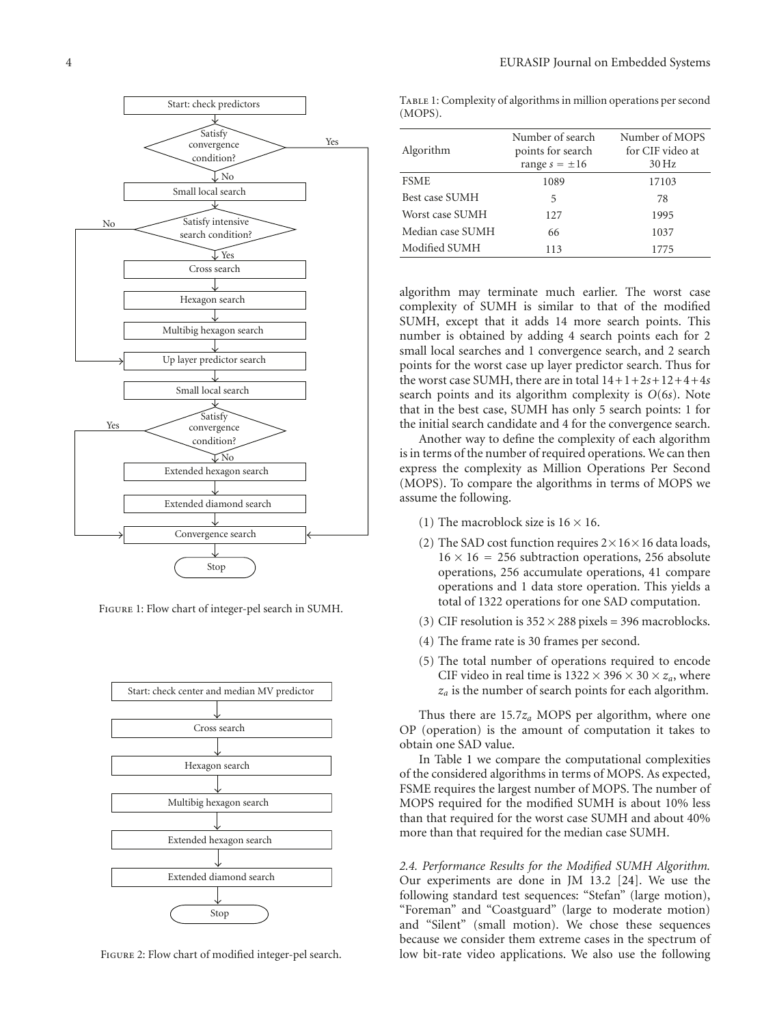

Figure 1: Flow chart of integer-pel search in SUMH.



Figure 2: Flow chart of modified integer-pel search.

TABLE 1: Complexity of algorithms in million operations per second (MOPS).

| Algorithm             | Number of search<br>points for search<br>range $s = \pm 16$ | Number of MOPS<br>for CIF video at<br>30 Hz |
|-----------------------|-------------------------------------------------------------|---------------------------------------------|
| <b>FSME</b>           | 1089                                                        | 17103                                       |
| <b>Best case SUMH</b> | 5                                                           | 78                                          |
| Worst case SUMH       | 12.7                                                        | 1995                                        |
| Median case SUMH      | 66                                                          | 1037                                        |
| Modified SUMH         | 113                                                         | 1775                                        |

algorithm may terminate much earlier. The worst case complexity of SUMH is similar to that of the modified SUMH, except that it adds 14 more search points. This number is obtained by adding 4 search points each for 2 small local searches and 1 convergence search, and 2 search points for the worst case up layer predictor search. Thus for the worst case SUMH, there are in total  $14+1+2s+12+4+4s$ search points and its algorithm complexity is *O*(6*s*). Note that in the best case, SUMH has only 5 search points: 1 for the initial search candidate and 4 for the convergence search.

Another way to define the complexity of each algorithm is in terms of the number of required operations. We can then express the complexity as Million Operations Per Second (MOPS). To compare the algorithms in terms of MOPS we assume the following.

- (1) The macroblock size is  $16 \times 16$ .
- (2) The SAD cost function requires  $2 \times 16 \times 16$  data loads,  $16 \times 16 = 256$  subtraction operations, 256 absolute operations, 256 accumulate operations, 41 compare operations and 1 data store operation. This yields a total of 1322 operations for one SAD computation.
- (3) CIF resolution is  $352 \times 288$  pixels = 396 macroblocks.
- (4) The frame rate is 30 frames per second.
- (5) The total number of operations required to encode CIF video in real time is  $1322 \times 396 \times 30 \times z_a$ , where *za* is the number of search points for each algorithm.

Thus there are 15*.*7*za* MOPS per algorithm, where one OP (operation) is the amount of computation it takes to obtain one SAD value.

In Table 1 we compare the computational complexities of the considered algorithms in terms of MOPS. As expected, FSME requires the largest number of MOPS. The number of MOPS required for the modified SUMH is about 10% less than that required for the worst case SUMH and about 40% more than that required for the median case SUMH.

*2.4. Performance Results for the Modified SUMH Algorithm.* Our experiments are done in JM 13.2 [24]. We use the following standard test sequences: "Stefan" (large motion), "Foreman" and "Coastguard" (large to moderate motion) and "Silent" (small motion). We chose these sequences because we consider them extreme cases in the spectrum of low bit-rate video applications. We also use the following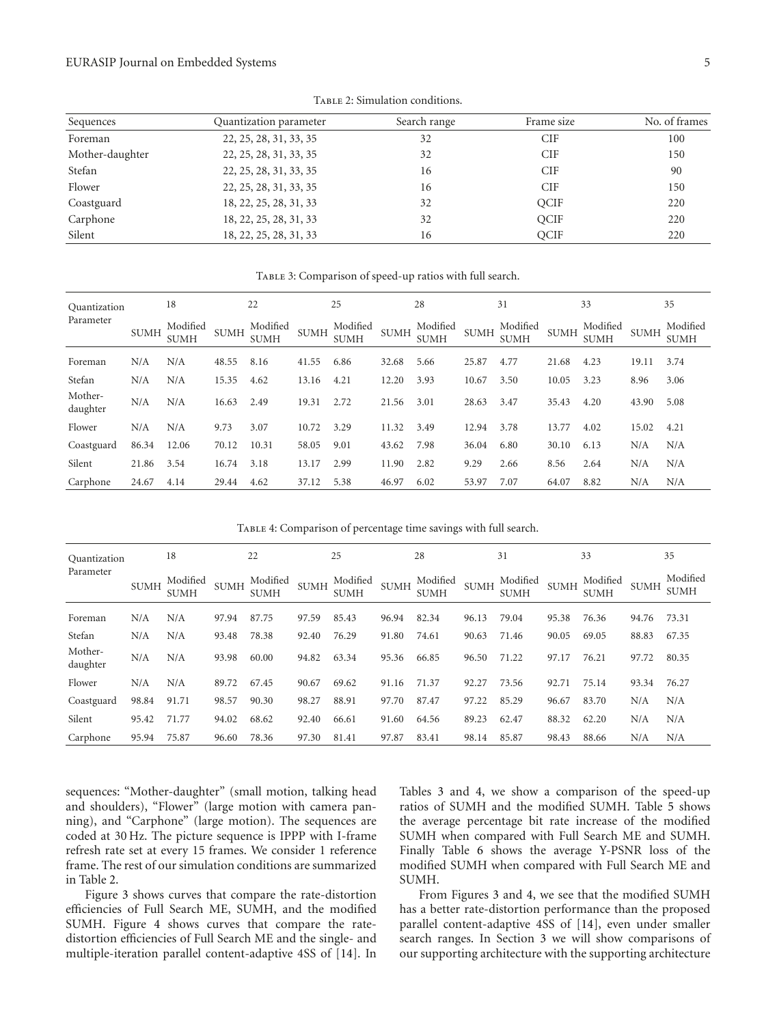| Sequences       | Quantization parameter | Search range | Frame size  | No. of frames |
|-----------------|------------------------|--------------|-------------|---------------|
| Foreman         | 22, 25, 28, 31, 33, 35 | 32           | <b>CIF</b>  | 100           |
| Mother-daughter | 22, 25, 28, 31, 33, 35 | 32           | <b>CIF</b>  | 150           |
| Stefan          | 22, 25, 28, 31, 33, 35 | 16           | <b>CIF</b>  | 90            |
| Flower          | 22, 25, 28, 31, 33, 35 | 16           | <b>CIF</b>  | 150           |
| Coastguard      | 18, 22, 25, 28, 31, 33 | 32           | <b>OCIF</b> | 220           |
| Carphone        | 18, 22, 25, 28, 31, 33 | 32           | <b>OCIF</b> | 220           |
| Silent          | 18, 22, 25, 28, 31, 33 | 16           | <b>OCIF</b> | 220           |

TABLE 2: Simulation conditions.

#### TABLE 3: Comparison of speed-up ratios with full search.

| Quantization        |             | 18                      |                              | 22                      |             | 25                      |             | 28                      |             | 31                      |             | 33                      |             | 35                      |
|---------------------|-------------|-------------------------|------------------------------|-------------------------|-------------|-------------------------|-------------|-------------------------|-------------|-------------------------|-------------|-------------------------|-------------|-------------------------|
| Parameter           | <b>SUMH</b> | Modified<br><b>SUMH</b> | $\mathop{\rm SUMH}\nolimits$ | Modified<br><b>SUMH</b> | <b>SUMH</b> | Modified<br><b>SUMH</b> | <b>SUMH</b> | Modified<br><b>SUMH</b> | <b>SUMH</b> | Modified<br><b>SUMH</b> | <b>SUMH</b> | Modified<br><b>SUMH</b> | <b>SUMH</b> | Modified<br><b>SUMH</b> |
| Foreman             | N/A         | N/A                     | 48.55                        | 8.16                    | 41.55       | 6.86                    | 32.68       | 5.66                    | 25.87       | 4.77                    | 21.68       | 4.23                    | 19.11       | 3.74                    |
| Stefan              | N/A         | N/A                     | 15.35                        | 4.62                    | 13.16       | 4.21                    | 12.20       | 3.93                    | 10.67       | 3.50                    | 10.05       | 3.23                    | 8.96        | 3.06                    |
| Mother-<br>daughter | N/A         | N/A                     | 16.63                        | 2.49                    | 19.31       | 2.72                    | 21.56       | 3.01                    | 28.63       | 3.47                    | 35.43       | 4.20                    | 43.90       | 5.08                    |
| Flower              | N/A         | N/A                     | 9.73                         | 3.07                    | 10.72       | 3.29                    | 11.32       | 3.49                    | 12.94       | 3.78                    | 13.77       | 4.02                    | 15.02       | 4.21                    |
| Coastguard          | 86.34       | 12.06                   | 70.12                        | 10.31                   | 58.05       | 9.01                    | 43.62       | 7.98                    | 36.04       | 6.80                    | 30.10       | 6.13                    | N/A         | N/A                     |
| Silent              | 21.86       | 3.54                    | 16.74                        | 3.18                    | 13.17       | 2.99                    | 11.90       | 2.82                    | 9.29        | 2.66                    | 8.56        | 2.64                    | N/A         | N/A                     |
| Carphone            | 24.67       | 4.14                    | 29.44                        | 4.62                    | 37.12       | 5.38                    | 46.97       | 6.02                    | 53.97       | 7.07                    | 64.07       | 8.82                    | N/A         | N/A                     |

| TABLE 4: Comparison of percentage time savings with full search. |  |  |  |
|------------------------------------------------------------------|--|--|--|
|                                                                  |  |  |  |
|                                                                  |  |  |  |
|                                                                  |  |  |  |

| Quantization        | 18          |                         |             | 22<br>25                |             |                         | 28<br>31    |                         |             | 33                      |             | 35                      |             |                         |
|---------------------|-------------|-------------------------|-------------|-------------------------|-------------|-------------------------|-------------|-------------------------|-------------|-------------------------|-------------|-------------------------|-------------|-------------------------|
| Parameter           | <b>SUMH</b> | Modified<br><b>SUMH</b> | <b>SUMH</b> | Modified<br><b>SUMH</b> | <b>SUMH</b> | Modified<br><b>SUMH</b> | <b>SUMH</b> | Modified<br><b>SUMH</b> | <b>SUMH</b> | Modified<br><b>SUMH</b> | <b>SUMH</b> | Modified<br><b>SUMH</b> | <b>SUMH</b> | Modified<br><b>SUMH</b> |
| Foreman             | N/A         | N/A                     | 97.94       | 87.75                   | 97.59       | 85.43                   | 96.94       | 82.34                   | 96.13       | 79.04                   | 95.38       | 76.36                   | 94.76       | 73.31                   |
| Stefan              | N/A         | N/A                     | 93.48       | 78.38                   | 92.40       | 76.29                   | 91.80       | 74.61                   | 90.63       | 71.46                   | 90.05       | 69.05                   | 88.83       | 67.35                   |
| Mother-<br>daughter | N/A         | N/A                     | 93.98       | 60.00                   | 94.82       | 63.34                   | 95.36       | 66.85                   | 96.50       | 71.22                   | 97.17       | 76.21                   | 97.72       | 80.35                   |
| Flower              | N/A         | N/A                     | 89.72       | 67.45                   | 90.67       | 69.62                   | 91.16       | 71.37                   | 92.27       | 73.56                   | 92.71       | 75.14                   | 93.34       | 76.27                   |
| Coastguard          | 98.84       | 91.71                   | 98.57       | 90.30                   | 98.27       | 88.91                   | 97.70       | 87.47                   | 97.22       | 85.29                   | 96.67       | 83.70                   | N/A         | N/A                     |
| Silent              | 95.42       | 71.77                   | 94.02       | 68.62                   | 92.40       | 66.61                   | 91.60       | 64.56                   | 89.23       | 62.47                   | 88.32       | 62.20                   | N/A         | N/A                     |
| Carphone            | 95.94       | 75.87                   | 96.60       | 78.36                   | 97.30       | 81.41                   | 97.87       | 83.41                   | 98.14       | 85.87                   | 98.43       | 88.66                   | N/A         | N/A                     |

sequences: "Mother-daughter" (small motion, talking head and shoulders), "Flower" (large motion with camera panning), and "Carphone" (large motion). The sequences are coded at 30 Hz. The picture sequence is IPPP with I-frame refresh rate set at every 15 frames. We consider 1 reference frame. The rest of our simulation conditions are summarized in Table 2.

Figure 3 shows curves that compare the rate-distortion efficiencies of Full Search ME, SUMH, and the modified SUMH. Figure 4 shows curves that compare the ratedistortion efficiencies of Full Search ME and the single- and multiple-iteration parallel content-adaptive 4SS of [14]. In

Tables 3 and 4, we show a comparison of the speed-up ratios of SUMH and the modified SUMH. Table 5 shows the average percentage bit rate increase of the modified SUMH when compared with Full Search ME and SUMH. Finally Table 6 shows the average Y-PSNR loss of the modified SUMH when compared with Full Search ME and SUMH.

From Figures 3 and 4, we see that the modified SUMH has a better rate-distortion performance than the proposed parallel content-adaptive 4SS of [14], even under smaller search ranges. In Section 3 we will show comparisons of our supporting architecture with the supporting architecture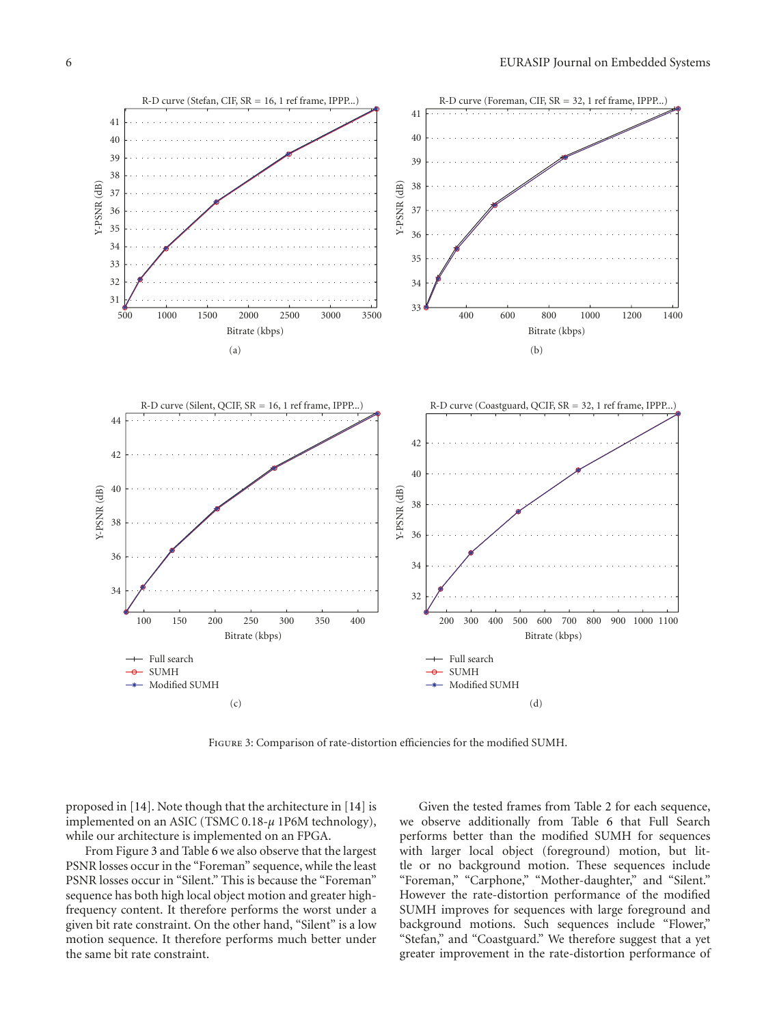

Figure 3: Comparison of rate-distortion efficiencies for the modified SUMH.

proposed in [14]. Note though that the architecture in [14] is implemented on an ASIC (TSMC 0.18-*μ* 1P6M technology), while our architecture is implemented on an FPGA.

From Figure 3 and Table 6 we also observe that the largest PSNR losses occur in the "Foreman" sequence, while the least PSNR losses occur in "Silent." This is because the "Foreman" sequence has both high local object motion and greater highfrequency content. It therefore performs the worst under a given bit rate constraint. On the other hand, "Silent" is a low motion sequence. It therefore performs much better under the same bit rate constraint.

Given the tested frames from Table 2 for each sequence, we observe additionally from Table 6 that Full Search performs better than the modified SUMH for sequences with larger local object (foreground) motion, but little or no background motion. These sequences include "Foreman," "Carphone," "Mother-daughter," and "Silent." However the rate-distortion performance of the modified SUMH improves for sequences with large foreground and background motions. Such sequences include "Flower," "Stefan," and "Coastguard." We therefore suggest that a yet greater improvement in the rate-distortion performance of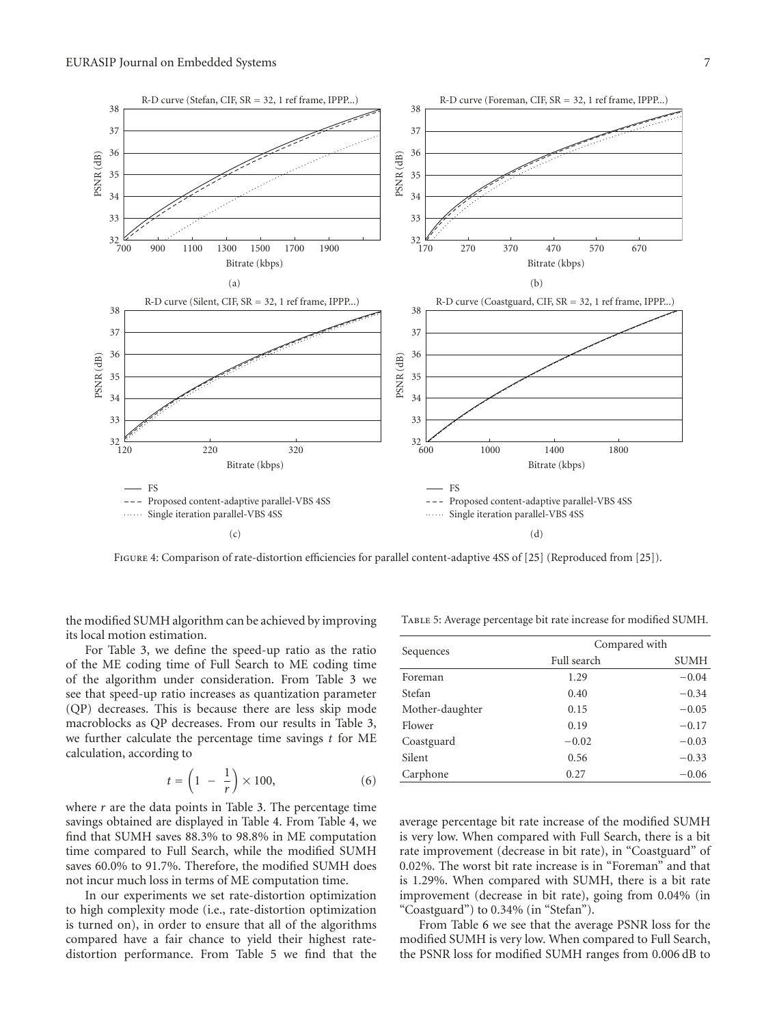

FIGURE 4: Comparison of rate-distortion efficiencies for parallel content-adaptive 4SS of [25] (Reproduced from [25]).

the modified SUMH algorithm can be achieved by improving its local motion estimation.

For Table 3, we define the speed-up ratio as the ratio of the ME coding time of Full Search to ME coding time of the algorithm under consideration. From Table 3 we see that speed-up ratio increases as quantization parameter (QP) decreases. This is because there are less skip mode macroblocks as QP decreases. From our results in Table 3, we further calculate the percentage time savings *t* for ME calculation, according to

$$
t = \left(1 - \frac{1}{r}\right) \times 100,\tag{6}
$$

where *r* are the data points in Table 3. The percentage time savings obtained are displayed in Table 4. From Table 4, we find that SUMH saves 88.3% to 98.8% in ME computation time compared to Full Search, while the modified SUMH saves 60.0% to 91.7%. Therefore, the modified SUMH does not incur much loss in terms of ME computation time.

In our experiments we set rate-distortion optimization to high complexity mode (i.e., rate-distortion optimization is turned on), in order to ensure that all of the algorithms compared have a fair chance to yield their highest ratedistortion performance. From Table 5 we find that the

Table 5: Average percentage bit rate increase for modified SUMH.

| Sequences       | Compared with |             |
|-----------------|---------------|-------------|
|                 | Full search   | <b>SUMH</b> |
| Foreman         | 1.29          | $-0.04$     |
| Stefan          | 0.40          | $-0.34$     |
| Mother-daughter | 0.15          | $-0.05$     |
| Flower          | 0.19          | $-0.17$     |
| Coastguard      | $-0.02$       | $-0.03$     |
| Silent          | 0.56          | $-0.33$     |
| Carphone        | 0.27          | $-0.06$     |

average percentage bit rate increase of the modified SUMH is very low. When compared with Full Search, there is a bit rate improvement (decrease in bit rate), in "Coastguard" of 0.02%. The worst bit rate increase is in "Foreman" and that is 1.29%. When compared with SUMH, there is a bit rate improvement (decrease in bit rate), going from 0.04% (in "Coastguard") to 0.34% (in "Stefan").

From Table 6 we see that the average PSNR loss for the modified SUMH is very low. When compared to Full Search, the PSNR loss for modified SUMH ranges from 0.006 dB to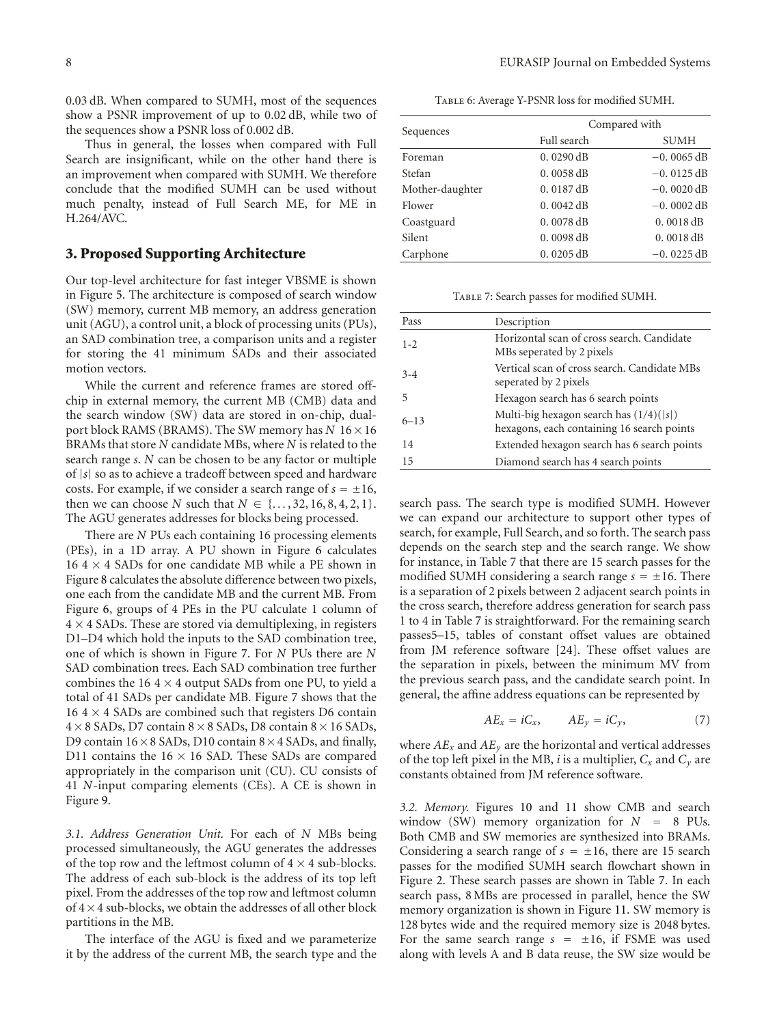0.03 dB. When compared to SUMH, most of the sequences show a PSNR improvement of up to 0.02 dB, while two of the sequences show a PSNR loss of 0.002 dB.

Thus in general, the losses when compared with Full Search are insignificant, while on the other hand there is an improvement when compared with SUMH. We therefore conclude that the modified SUMH can be used without much penalty, instead of Full Search ME, for ME in H.264/AVC.

# **3. Proposed Supporting Architecture**

Our top-level architecture for fast integer VBSME is shown in Figure 5. The architecture is composed of search window (SW) memory, current MB memory, an address generation unit (AGU), a control unit, a block of processing units (PUs), an SAD combination tree, a comparison units and a register for storing the 41 minimum SADs and their associated motion vectors.

While the current and reference frames are stored offchip in external memory, the current MB (CMB) data and the search window (SW) data are stored in on-chip, dualport block RAMS (BRAMS). The SW memory has *N* 16×16 BRAMs that store *N* candidate MBs, where *N* is related to the search range *s*. *N* can be chosen to be any factor or multiple of |*s*| so as to achieve a tradeoff between speed and hardware costs. For example, if we consider a search range of  $s = \pm 16$ , then we can choose *N* such that  $N \in \{..., 32, 16, 8, 4, 2, 1\}.$ The AGU generates addresses for blocks being processed.

There are *N* PUs each containing 16 processing elements (PEs), in a 1D array. A PU shown in Figure 6 calculates  $16.4 \times 4$  SADs for one candidate MB while a PE shown in Figure 8 calculates the absolute difference between two pixels, one each from the candidate MB and the current MB. From Figure 6, groups of 4 PEs in the PU calculate 1 column of  $4 \times 4$  SADs. These are stored via demultiplexing, in registers D1–D4 which hold the inputs to the SAD combination tree, one of which is shown in Figure 7. For *N* PUs there are *N* SAD combination trees. Each SAD combination tree further combines the  $16 \, 4 \times 4$  output SADs from one PU, to yield a total of 41 SADs per candidate MB. Figure 7 shows that the  $16.4 \times 4$  SADs are combined such that registers D6 contain  $4 \times 8$  SADs, D7 contain  $8 \times 8$  SADs, D8 contain  $8 \times 16$  SADs, D9 contain  $16 \times 8$  SADs, D10 contain  $8 \times 4$  SADs, and finally, D11 contains the  $16 \times 16$  SAD. These SADs are compared appropriately in the comparison unit (CU). CU consists of 41 *N*-input comparing elements (CEs). A CE is shown in Figure 9.

*3.1. Address Generation Unit.* For each of *N* MBs being processed simultaneously, the AGU generates the addresses of the top row and the leftmost column of  $4 \times 4$  sub-blocks. The address of each sub-block is the address of its top left pixel. From the addresses of the top row and leftmost column of  $4 \times 4$  sub-blocks, we obtain the addresses of all other block partitions in the MB.

The interface of the AGU is fixed and we parameterize it by the address of the current MB, the search type and the

Table 6: Average Y-PSNR loss for modified SUMH.

| Sequences       |             | Compared with |
|-----------------|-------------|---------------|
|                 | Full search | <b>SUMH</b>   |
| Foreman         | 0.0290 dB   | $-0.0065$ dB  |
| Stefan          | 0.0058 dB   | $-0.0125 dB$  |
| Mother-daughter | 0.0187 dB   | $-0.0020$ dB  |
| Flower          | 0.0042 dB   | $-0.0002$ dB  |
| Coastguard      | 0.0078 dB   | 0.0018 dB     |
| Silent          | 0.0098 dB   | 0.0018 dB     |
| Carphone        | 0.0205 dB   | $-0.0225 dB$  |

Table 7: Search passes for modified SUMH.

| Pass     | Description                                                                             |
|----------|-----------------------------------------------------------------------------------------|
| $1 - 2$  | Horizontal scan of cross search. Candidate<br>MBs seperated by 2 pixels                 |
| $3 - 4$  | Vertical scan of cross search. Candidate MBs<br>seperated by 2 pixels                   |
| 5        | Hexagon search has 6 search points                                                      |
| $6 - 13$ | Multi-big hexagon search has $(1/4)( s )$<br>hexagons, each containing 16 search points |
| 14       | Extended hexagon search has 6 search points                                             |
| 15       | Diamond search has 4 search points                                                      |

search pass. The search type is modified SUMH. However we can expand our architecture to support other types of search, for example, Full Search, and so forth. The search pass depends on the search step and the search range. We show for instance, in Table 7 that there are 15 search passes for the modified SUMH considering a search range  $s = \pm 16$ . There is a separation of 2 pixels between 2 adjacent search points in the cross search, therefore address generation for search pass 1 to 4 in Table 7 is straightforward. For the remaining search passes5–15, tables of constant offset values are obtained from JM reference software [24]. These offset values are the separation in pixels, between the minimum MV from the previous search pass, and the candidate search point. In general, the affine address equations can be represented by

$$
AE_x = iC_x, \qquad AE_y = iC_y,\tag{7}
$$

where  $AE_x$  and  $AE_y$  are the horizontal and vertical addresses of the top left pixel in the MB, *i* is a multiplier,  $C_x$  and  $C_y$  are constants obtained from JM reference software.

*3.2. Memory.* Figures 10 and 11 show CMB and search window (SW) memory organization for *N* = 8 PUs. Both CMB and SW memories are synthesized into BRAMs. Considering a search range of  $s = \pm 16$ , there are 15 search passes for the modified SUMH search flowchart shown in Figure 2. These search passes are shown in Table 7. In each search pass, 8 MBs are processed in parallel, hence the SW memory organization is shown in Figure 11. SW memory is 128 bytes wide and the required memory size is 2048 bytes. For the same search range  $s = \pm 16$ , if FSME was used along with levels A and B data reuse, the SW size would be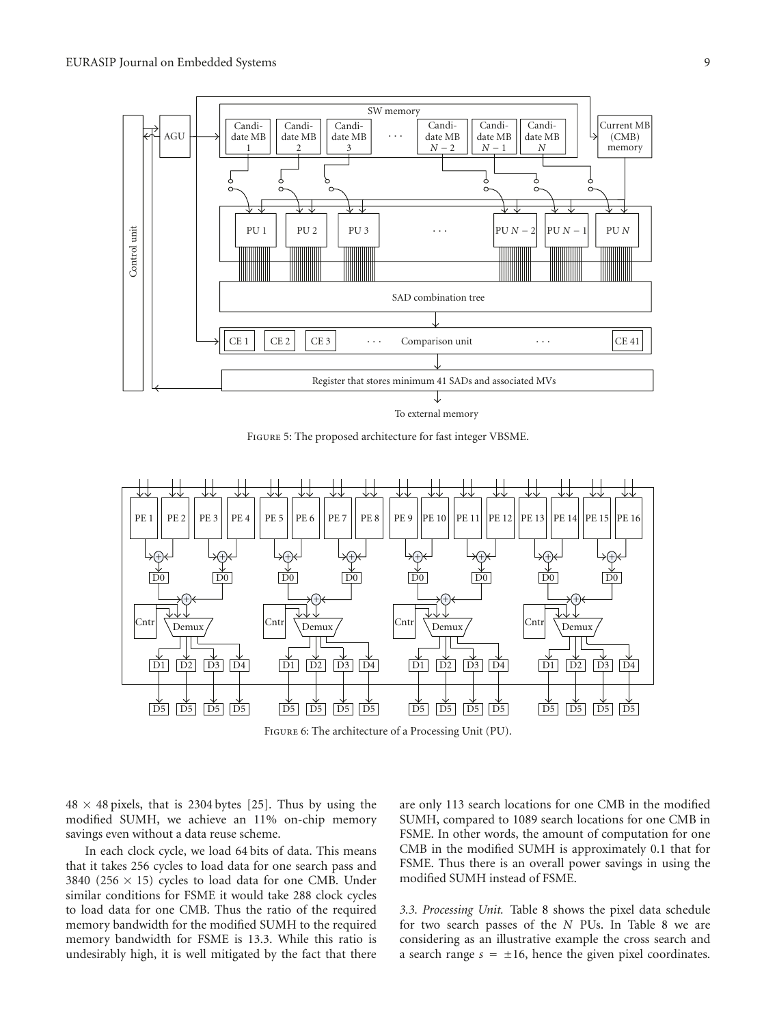

Figure 5: The proposed architecture for fast integer VBSME.



Figure 6: The architecture of a Processing Unit (PU).

 $48 \times 48$  pixels, that is 2304 bytes [25]. Thus by using the modified SUMH, we achieve an 11% on-chip memory savings even without a data reuse scheme.

In each clock cycle, we load 64 bits of data. This means that it takes 256 cycles to load data for one search pass and 3840 (256  $\times$  15) cycles to load data for one CMB. Under similar conditions for FSME it would take 288 clock cycles to load data for one CMB. Thus the ratio of the required memory bandwidth for the modified SUMH to the required memory bandwidth for FSME is 13.3. While this ratio is undesirably high, it is well mitigated by the fact that there are only 113 search locations for one CMB in the modified SUMH, compared to 1089 search locations for one CMB in FSME. In other words, the amount of computation for one CMB in the modified SUMH is approximately 0.1 that for FSME. Thus there is an overall power savings in using the modified SUMH instead of FSME.

*3.3. Processing Unit.* Table 8 shows the pixel data schedule for two search passes of the *N* PUs. In Table 8 we are considering as an illustrative example the cross search and a search range  $s = \pm 16$ , hence the given pixel coordinates.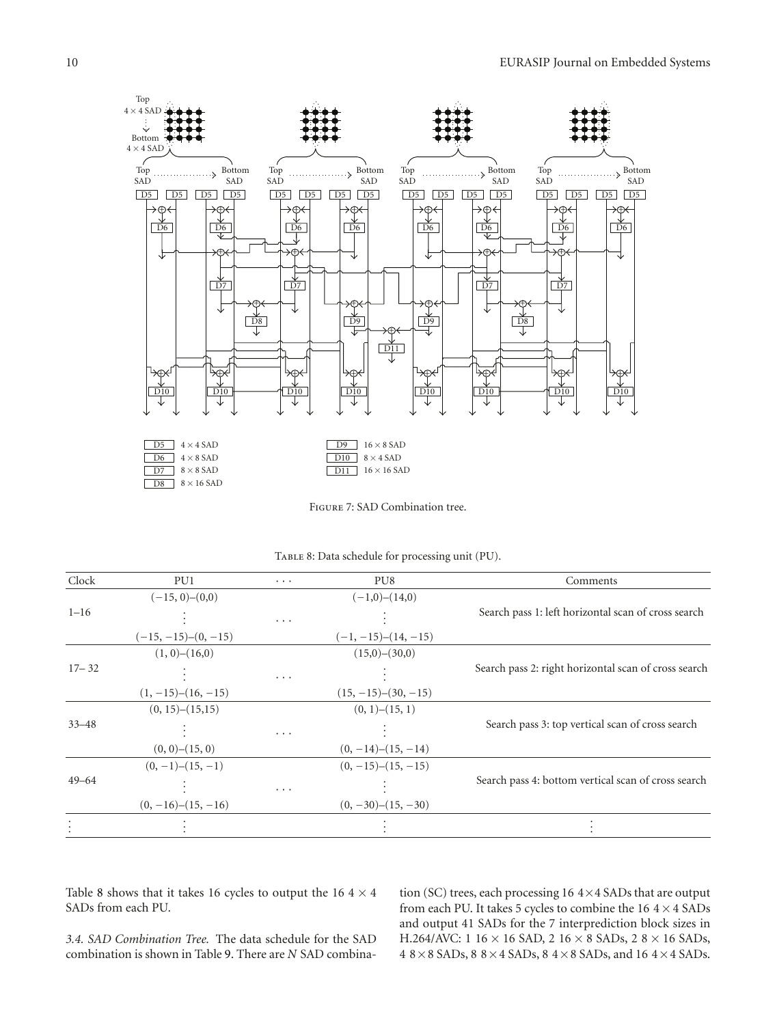

Figure 7: SAD Combination tree.

| Clock     | PU <sub>1</sub>           | $\cdots$ | PU8                       | Comments                                             |
|-----------|---------------------------|----------|---------------------------|------------------------------------------------------|
|           | $(-15, 0)$ – $(0, 0)$     |          | $(-1,0)$ - $(14,0)$       |                                                      |
| $1 - 16$  |                           | $\cdots$ |                           | Search pass 1: left horizontal scan of cross search  |
|           | $(-15, -15)$ - $(0, -15)$ |          | $(-1, -15)$ – $(14, -15)$ |                                                      |
|           | $(1, 0)$ – $(16, 0)$      |          | $(15,0)$ – $(30,0)$       |                                                      |
| $17 - 32$ |                           | $\cdots$ |                           | Search pass 2: right horizontal scan of cross search |
|           | $(1, -15)$ – $(16, -15)$  |          | $(15, -15)$ - $(30, -15)$ |                                                      |
|           | $(0, 15)$ – $(15, 15)$    |          | $(0, 1)$ – $(15, 1)$      |                                                      |
| $33 - 48$ |                           | $\cdots$ |                           | Search pass 3: top vertical scan of cross search     |
|           | $(0, 0)$ – $(15, 0)$      |          | $(0, -14)$ – $(15, -14)$  |                                                      |
|           | $(0, -1)$ - $(15, -1)$    |          | $(0, -15)$ - $(15, -15)$  |                                                      |
| $49 - 64$ |                           | $\cdots$ |                           | Search pass 4: bottom vertical scan of cross search  |
|           | $(0, -16)$ – $(15, -16)$  |          | $(0, -30)$ – $(15, -30)$  |                                                      |
|           |                           |          |                           |                                                      |

| TABLE 8: Data schedule for processing unit (PU). |  |  |
|--------------------------------------------------|--|--|
|--------------------------------------------------|--|--|

Table 8 shows that it takes 16 cycles to output the 16  $4 \times 4$ SADs from each PU.

*3.4. SAD Combination Tree.* The data schedule for the SAD combination is shown in Table 9. There are *N* SAD combination (SC) trees, each processing 16 4×4 SADs that are output from each PU. It takes 5 cycles to combine the  $16.4 \times 4$  SADs and output 41 SADs for the 7 interprediction block sizes in H.264/AVC: 1 16  $\times$  16 SAD, 2 16  $\times$  8 SADs, 2 8  $\times$  16 SADs, 4 8  $\times$  8 SADs, 8 8  $\times$  4 SADs, 8 4  $\times$  8 SADs, and 16 4  $\times$  4 SADs.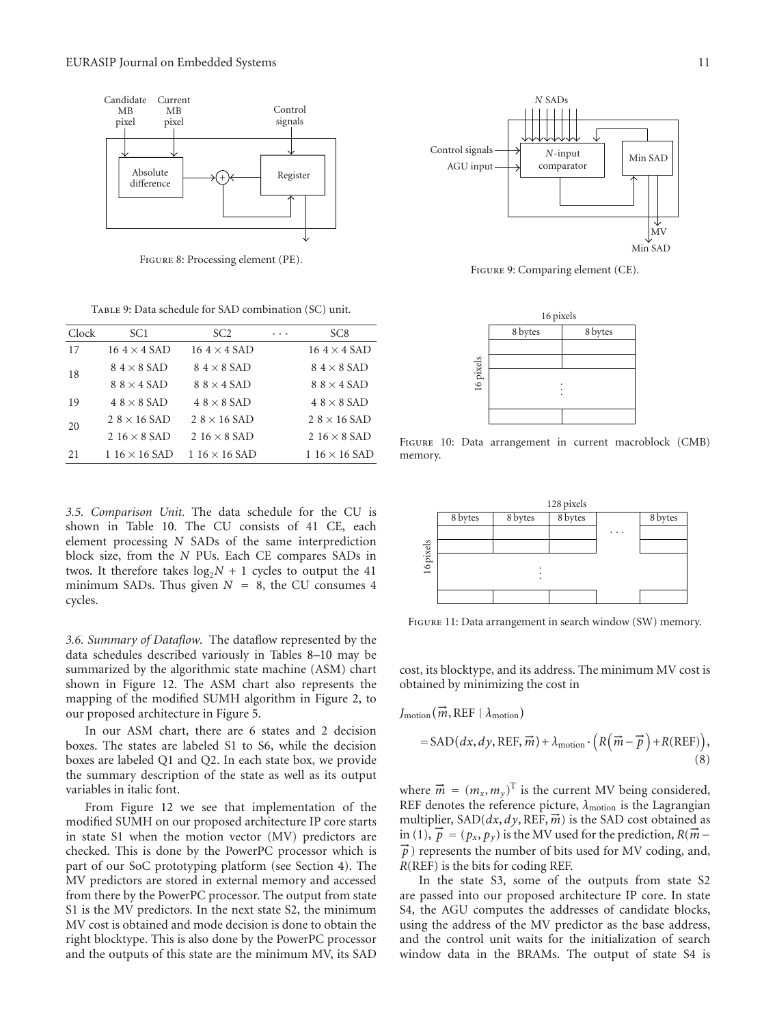

Figure 8: Processing element (PE).

| TABLE 9: Data schedule for SAD combination (SC) unit. |  |  |  |  |  |
|-------------------------------------------------------|--|--|--|--|--|
|-------------------------------------------------------|--|--|--|--|--|

| Clock | SC <sub>1</sub>      | SC <sub>2</sub>     | SC <sub>8</sub>      |
|-------|----------------------|---------------------|----------------------|
| 17    | $16.4 \times 4$ SAD  | $16.4 \times 4$ SAD | $16.4 \times 4$ SAD  |
| 18    | $84 \times 8$ SAD    | $84 \times 8$ SAD   | $84\times 8$ SAD     |
|       | $88 \times 4$ SAD    | $88 \times 4$ SAD   | $88 \times 4$ SAD    |
| 19    | $4.8 \times 8$ SAD   | $4.8 \times 8$ SAD  | $4.8 \times 8$ SAD   |
| 20    | $2.8 \times 16$ SAD  | $2.8 \times 16$ SAD | $28 \times 16$ SAD   |
|       | $2.16 \times 8$ SAD  | $2.16 \times 8$ SAD | $2.16 \times 8$ SAD  |
| 21    | $1.16 \times 16$ SAD | $116 \times 16$ SAD | $1.16 \times 16$ SAD |

*3.5. Comparison Unit.* The data schedule for the CU is shown in Table 10. The CU consists of 41 CE, each element processing *N* SADs of the same interprediction block size, from the *N* PUs. Each CE compares SADs in twos. It therefore takes  $log_2N + 1$  cycles to output the 41 minimum SADs. Thus given  $N = 8$ , the CU consumes 4 cycles.

*3.6. Summary of Dataflow.* The dataflow represented by the data schedules described variously in Tables 8–10 may be summarized by the algorithmic state machine (ASM) chart shown in Figure 12. The ASM chart also represents the mapping of the modified SUMH algorithm in Figure 2, to our proposed architecture in Figure 5.

In our ASM chart, there are 6 states and 2 decision boxes. The states are labeled S1 to S6, while the decision boxes are labeled Q1 and Q2. In each state box, we provide the summary description of the state as well as its output variables in italic font.

From Figure 12 we see that implementation of the modified SUMH on our proposed architecture IP core starts in state S1 when the motion vector (MV) predictors are checked. This is done by the PowerPC processor which is part of our SoC prototyping platform (see Section 4). The MV predictors are stored in external memory and accessed from there by the PowerPC processor. The output from state S1 is the MV predictors. In the next state S2, the minimum MV cost is obtained and mode decision is done to obtain the right blocktype. This is also done by the PowerPC processor and the outputs of this state are the minimum MV, its SAD



Figure 9: Comparing element (CE).



FIGURE 10: Data arrangement in current macroblock (CMB) memory.



Figure 11: Data arrangement in search window (SW) memory.

cost, its blocktype, and its address. The minimum MV cost is obtained by minimizing the cost in

$$
J_{\text{motion}}(\vec{m}, \text{REF} \mid \lambda_{\text{motion}})
$$
  
= SAD(*dx*, *dy*, *REF*,  $\vec{m}$ ) +  $\lambda_{\text{motion}} \cdot (R(\vec{m} - \vec{p}) + R(\text{REF})$ ), (8)

where  $\vec{m} = (m_x, m_y)^T$  is the current MV being considered, REF denotes the reference picture, *λ*motion is the Lagrangian multiplier,  $SAD(dx, dy, REF, \vec{m})$  is the SAD cost obtained as in (1),  $\vec{p}$  = ( $p_x$ ,  $p_y$ ) is the MV used for the prediction, *R*( $\vec{m}$ − $\vec{p}$ ) represents the number of bits used for MV coding, and, *R*(REF) is the bits for coding REF.

In the state S3, some of the outputs from state S2 are passed into our proposed architecture IP core. In state S4, the AGU computes the addresses of candidate blocks, using the address of the MV predictor as the base address, and the control unit waits for the initialization of search window data in the BRAMs. The output of state S4 is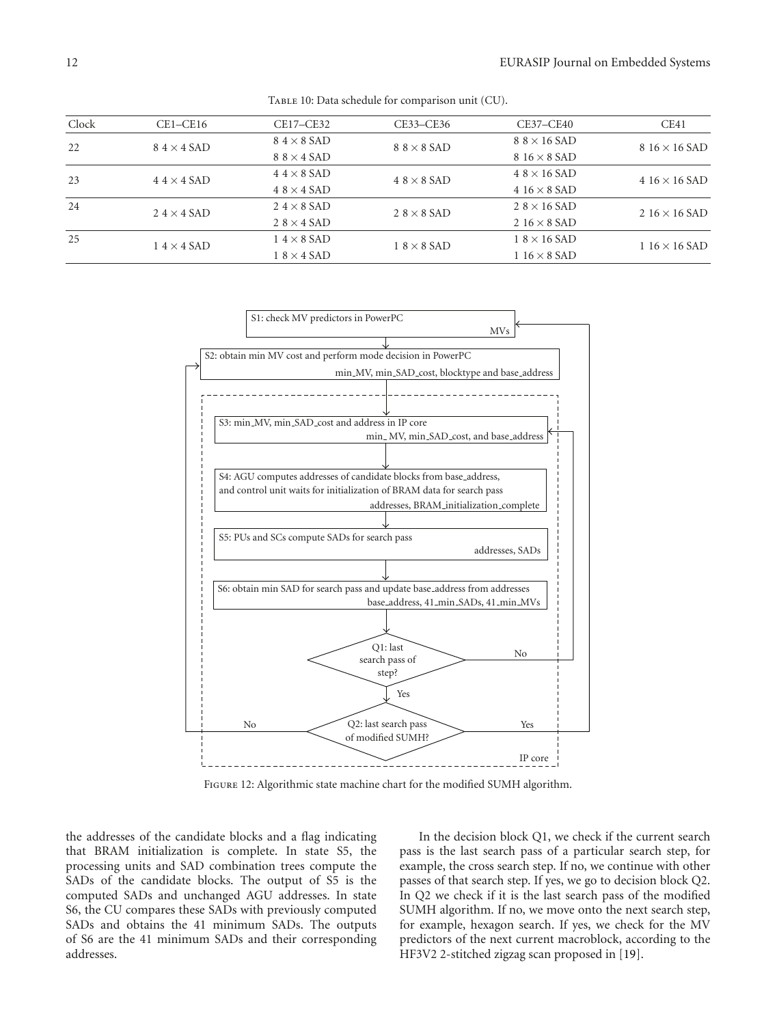| Clock | $CE1 - CE16$       | CE17-CE32          | CE33-CE36         | CE37-CE40           | CE41                 |
|-------|--------------------|--------------------|-------------------|---------------------|----------------------|
| 22    | $84\times4$ SAD    | $84\times 8$ SAD   | $88 \times 8$ SAD | $88 \times 16$ SAD  | $816 \times 16$ SAD  |
|       |                    | $88 \times 4$ SAD  |                   | $816 \times 8$ SAD  |                      |
| 23    | $44 \times 4$ SAD  | $44 \times 8$ SAD  | $48 \times 8$ SAD | $4.8 \times 16$ SAD | $416 \times 16$ SAD  |
|       |                    | $48 \times 4$ SAD  |                   | $416 \times 8$ SAD  |                      |
| 24    | $2.4 \times 4$ SAD | $2.4 \times 8$ SAD | $28 \times 8$ SAD | $28 \times 16$ SAD  | $2.16 \times 16$ SAD |
|       |                    | $28 \times 4$ SAD  |                   | $216 \times 8$ SAD  |                      |
| 25    | $1.4 \times 4$ SAD | $1.4 \times 8$ SAD | $18 \times 8$ SAD | $18 \times 16$ SAD  | $116 \times 16$ SAD  |
|       |                    | $18 \times 4$ SAD  |                   | $116 \times 8$ SAD  |                      |

TABLE 10: Data schedule for comparison unit (CU).



Figure 12: Algorithmic state machine chart for the modified SUMH algorithm.

the addresses of the candidate blocks and a flag indicating that BRAM initialization is complete. In state S5, the processing units and SAD combination trees compute the SADs of the candidate blocks. The output of S5 is the computed SADs and unchanged AGU addresses. In state S6, the CU compares these SADs with previously computed SADs and obtains the 41 minimum SADs. The outputs of S6 are the 41 minimum SADs and their corresponding addresses.

In the decision block Q1, we check if the current search pass is the last search pass of a particular search step, for example, the cross search step. If no, we continue with other passes of that search step. If yes, we go to decision block Q2. In Q2 we check if it is the last search pass of the modified SUMH algorithm. If no, we move onto the next search step, for example, hexagon search. If yes, we check for the MV predictors of the next current macroblock, according to the HF3V2 2-stitched zigzag scan proposed in [19].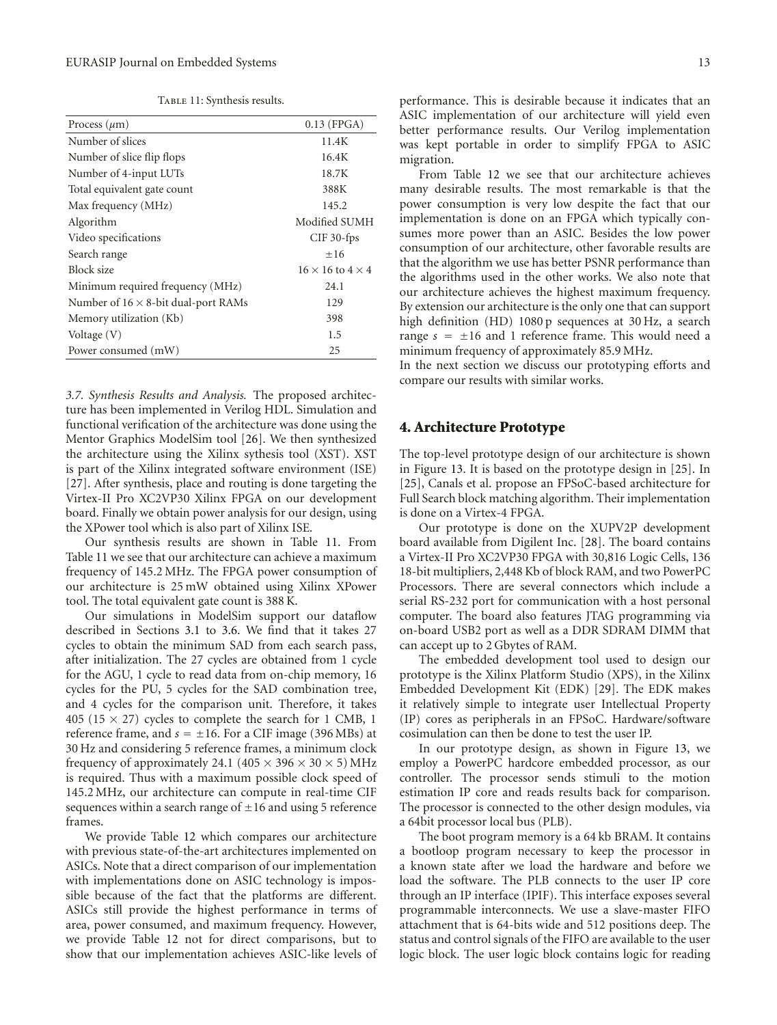TABLE 11: Synthesis results.

| Process $(\mu m)$                           | $0.13$ (FPGA)                  |  |
|---------------------------------------------|--------------------------------|--|
| Number of slices                            | 11.4K                          |  |
| Number of slice flip flops                  | 16.4K                          |  |
| Number of 4-input LUTs                      | 18.7K                          |  |
| Total equivalent gate count                 | 388K                           |  |
| Max frequency (MHz)                         | 145.2                          |  |
| Algorithm                                   | Modified SUMH                  |  |
| Video specifications                        | $CIF$ 30-fps                   |  |
| Search range                                | $+16$                          |  |
| Block size                                  | $16 \times 16$ to $4 \times 4$ |  |
| Minimum required frequency (MHz)            | 24.1                           |  |
| Number of $16 \times 8$ -bit dual-port RAMs | 129                            |  |
| Memory utilization (Kb)                     | 398                            |  |
| Voltage $(V)$                               | 1.5                            |  |
| Power consumed (mW)                         | 25                             |  |
|                                             |                                |  |

*3.7. Synthesis Results and Analysis.* The proposed architecture has been implemented in Verilog HDL. Simulation and functional verification of the architecture was done using the Mentor Graphics ModelSim tool [26]. We then synthesized the architecture using the Xilinx sythesis tool (XST). XST is part of the Xilinx integrated software environment (ISE) [27]. After synthesis, place and routing is done targeting the Virtex-II Pro XC2VP30 Xilinx FPGA on our development board. Finally we obtain power analysis for our design, using the XPower tool which is also part of Xilinx ISE.

Our synthesis results are shown in Table 11. From Table 11 we see that our architecture can achieve a maximum frequency of 145.2 MHz. The FPGA power consumption of our architecture is 25 mW obtained using Xilinx XPower tool. The total equivalent gate count is 388 K.

Our simulations in ModelSim support our dataflow described in Sections 3.1 to 3.6. We find that it takes 27 cycles to obtain the minimum SAD from each search pass, after initialization. The 27 cycles are obtained from 1 cycle for the AGU, 1 cycle to read data from on-chip memory, 16 cycles for the PU, 5 cycles for the SAD combination tree, and 4 cycles for the comparison unit. Therefore, it takes 405 (15  $\times$  27) cycles to complete the search for 1 CMB, 1 reference frame, and  $s = \pm 16$ . For a CIF image (396 MBs) at 30 Hz and considering 5 reference frames, a minimum clock frequency of approximately 24.1 (405  $\times$  396  $\times$  30  $\times$  5) MHz is required. Thus with a maximum possible clock speed of 145.2 MHz, our architecture can compute in real-time CIF sequences within a search range of  $\pm 16$  and using 5 reference frames.

We provide Table 12 which compares our architecture with previous state-of-the-art architectures implemented on ASICs. Note that a direct comparison of our implementation with implementations done on ASIC technology is impossible because of the fact that the platforms are different. ASICs still provide the highest performance in terms of area, power consumed, and maximum frequency. However, we provide Table 12 not for direct comparisons, but to show that our implementation achieves ASIC-like levels of

performance. This is desirable because it indicates that an ASIC implementation of our architecture will yield even better performance results. Our Verilog implementation was kept portable in order to simplify FPGA to ASIC migration.

From Table 12 we see that our architecture achieves many desirable results. The most remarkable is that the power consumption is very low despite the fact that our implementation is done on an FPGA which typically consumes more power than an ASIC. Besides the low power consumption of our architecture, other favorable results are that the algorithm we use has better PSNR performance than the algorithms used in the other works. We also note that our architecture achieves the highest maximum frequency. By extension our architecture is the only one that can support high definition (HD) 1080 p sequences at 30 Hz, a search range  $s = \pm 16$  and 1 reference frame. This would need a minimum frequency of approximately 85.9 MHz.

In the next section we discuss our prototyping efforts and compare our results with similar works.

# **4. Architecture Prototype**

The top-level prototype design of our architecture is shown in Figure 13. It is based on the prototype design in [25]. In [25], Canals et al. propose an FPSoC-based architecture for Full Search block matching algorithm. Their implementation is done on a Virtex-4 FPGA.

Our prototype is done on the XUPV2P development board available from Digilent Inc. [28]. The board contains a Virtex-II Pro XC2VP30 FPGA with 30,816 Logic Cells, 136 18-bit multipliers, 2,448 Kb of block RAM, and two PowerPC Processors. There are several connectors which include a serial RS-232 port for communication with a host personal computer. The board also features JTAG programming via on-board USB2 port as well as a DDR SDRAM DIMM that can accept up to 2 Gbytes of RAM.

The embedded development tool used to design our prototype is the Xilinx Platform Studio (XPS), in the Xilinx Embedded Development Kit (EDK) [29]. The EDK makes it relatively simple to integrate user Intellectual Property (IP) cores as peripherals in an FPSoC. Hardware/software cosimulation can then be done to test the user IP.

In our prototype design, as shown in Figure 13, we employ a PowerPC hardcore embedded processor, as our controller. The processor sends stimuli to the motion estimation IP core and reads results back for comparison. The processor is connected to the other design modules, via a 64bit processor local bus (PLB).

The boot program memory is a 64 kb BRAM. It contains a bootloop program necessary to keep the processor in a known state after we load the hardware and before we load the software. The PLB connects to the user IP core through an IP interface (IPIF). This interface exposes several programmable interconnects. We use a slave-master FIFO attachment that is 64-bits wide and 512 positions deep. The status and control signals of the FIFO are available to the user logic block. The user logic block contains logic for reading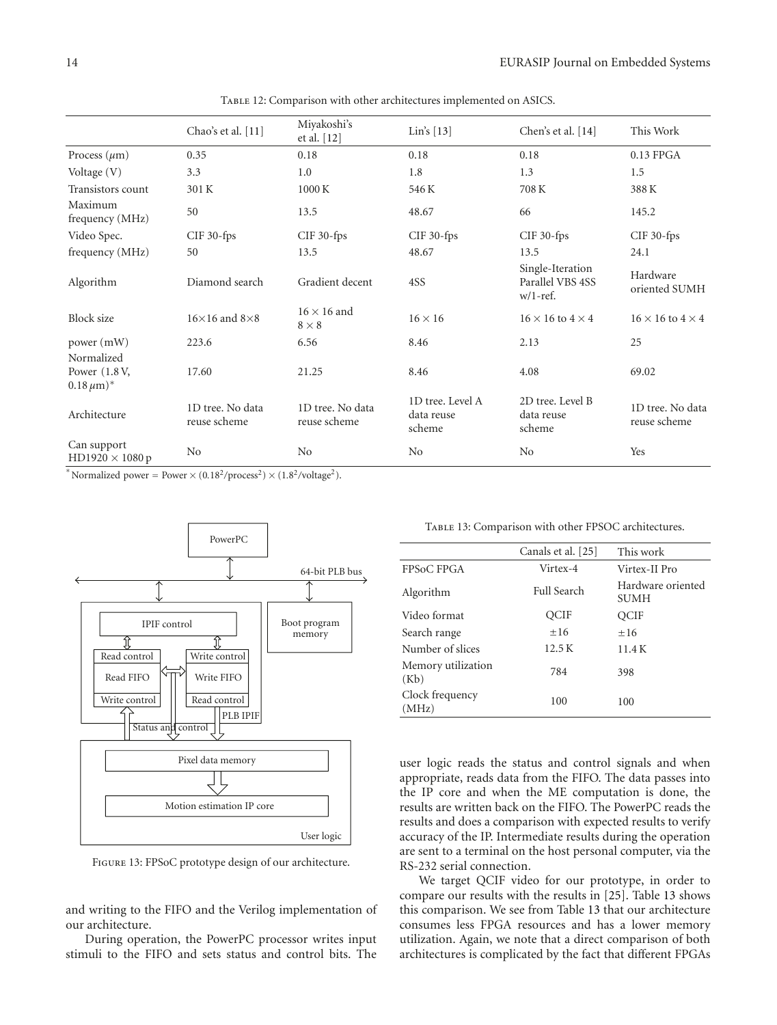|                                                     | Chao's et al. [11]               | Miyakoshi's<br>et al. [12]         | Lin's $[13]$                             | Chen's et al. [14]                                  | This Work                        |
|-----------------------------------------------------|----------------------------------|------------------------------------|------------------------------------------|-----------------------------------------------------|----------------------------------|
| Process $(\mu m)$                                   | 0.35                             | 0.18                               | 0.18                                     | 0.18                                                | $0.13$ FPGA                      |
| Voltage $(V)$                                       | 3.3                              | 1.0                                | 1.8                                      | 1.3                                                 | 1.5                              |
| Transistors count                                   | 301 K                            | 1000K                              | 546 K                                    | 708 K                                               | 388 K                            |
| Maximum<br>frequency (MHz)                          | 50                               | 13.5                               | 48.67                                    | 66                                                  | 145.2                            |
| Video Spec.                                         | CIF 30-fps                       | CIF 30-fps                         | CIF 30-fps                               | $CIF$ 30-fps                                        | CIF 30-fps                       |
| frequency (MHz)                                     | 50                               | 13.5                               | 48.67                                    | 13.5                                                | 24.1                             |
| Algorithm                                           | Diamond search                   | Gradient decent                    | 4SS                                      | Single-Iteration<br>Parallel VBS 4SS<br>$w/1$ -ref. | Hardware<br>oriented SUMH        |
| Block size                                          | $16\times16$ and $8\times8$      | $16 \times 16$ and<br>$8 \times 8$ | $16 \times 16$                           | $16 \times 16$ to $4 \times 4$                      | $16 \times 16$ to $4 \times 4$   |
| power (mW)                                          | 223.6                            | 6.56                               | 8.46                                     | 2.13                                                | 25                               |
| Normalized<br>Power $(1.8 V,$<br>$(0.18 \,\mu m)^*$ | 17.60                            | 21.25                              | 8.46                                     | 4.08                                                | 69.02                            |
| Architecture                                        | 1D tree. No data<br>reuse scheme | 1D tree. No data<br>reuse scheme   | 1D tree. Level A<br>data reuse<br>scheme | 2D tree. Level B<br>data reuse<br>scheme            | 1D tree. No data<br>reuse scheme |
| Can support<br>$HD1920 \times 1080p$                | No                               | N <sub>0</sub>                     | No                                       | N <sub>0</sub>                                      | Yes                              |

Table 12: Comparison with other architectures implemented on ASICS.

<sup>\*</sup> Normalized power = Power  $\times$  (0.18<sup>2</sup>/process<sup>2</sup>)  $\times$  (1.8<sup>2</sup>/voltage<sup>2</sup>).



Figure 13: FPSoC prototype design of our architecture.

and writing to the FIFO and the Verilog implementation of our architecture.

During operation, the PowerPC processor writes input stimuli to the FIFO and sets status and control bits. The

TABLE 13: Comparison with other FPSOC architectures.

|                            | Canals et al. [25] | This work                        |
|----------------------------|--------------------|----------------------------------|
| FPS <sub>o</sub> C FPGA    | Virtex-4           | Virtex-II Pro                    |
| Algorithm                  | Full Search        | Hardware oriented<br><b>SUMH</b> |
| Video format               | <b>OCIF</b>        | OCIF                             |
| Search range               | $+16$              | $+16$                            |
| Number of slices           | 12.5 K             | 11.4K                            |
| Memory utilization<br>(Kb) | 784                | 398                              |
| Clock frequency<br>(MHz)   | 100                | 100                              |

user logic reads the status and control signals and when appropriate, reads data from the FIFO. The data passes into the IP core and when the ME computation is done, the results are written back on the FIFO. The PowerPC reads the results and does a comparison with expected results to verify accuracy of the IP. Intermediate results during the operation are sent to a terminal on the host personal computer, via the RS-232 serial connection.

We target QCIF video for our prototype, in order to compare our results with the results in [25]. Table 13 shows this comparison. We see from Table 13 that our architecture consumes less FPGA resources and has a lower memory utilization. Again, we note that a direct comparison of both architectures is complicated by the fact that different FPGAs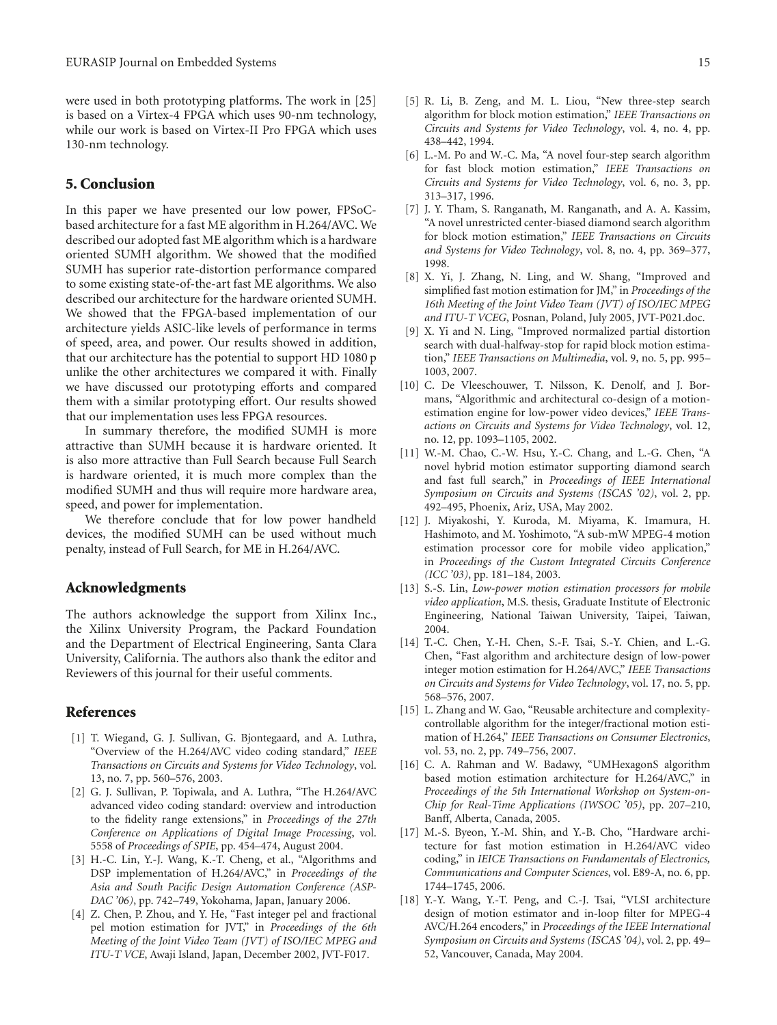were used in both prototyping platforms. The work in [25] is based on a Virtex-4 FPGA which uses 90-nm technology, while our work is based on Virtex-II Pro FPGA which uses 130-nm technology.

### **5. Conclusion**

In this paper we have presented our low power, FPSoCbased architecture for a fast ME algorithm in H.264/AVC. We described our adopted fast ME algorithm which is a hardware oriented SUMH algorithm. We showed that the modified SUMH has superior rate-distortion performance compared to some existing state-of-the-art fast ME algorithms. We also described our architecture for the hardware oriented SUMH. We showed that the FPGA-based implementation of our architecture yields ASIC-like levels of performance in terms of speed, area, and power. Our results showed in addition, that our architecture has the potential to support HD 1080 p unlike the other architectures we compared it with. Finally we have discussed our prototyping efforts and compared them with a similar prototyping effort. Our results showed that our implementation uses less FPGA resources.

In summary therefore, the modified SUMH is more attractive than SUMH because it is hardware oriented. It is also more attractive than Full Search because Full Search is hardware oriented, it is much more complex than the modified SUMH and thus will require more hardware area, speed, and power for implementation.

We therefore conclude that for low power handheld devices, the modified SUMH can be used without much penalty, instead of Full Search, for ME in H.264/AVC.

#### **Acknowledgments**

The authors acknowledge the support from Xilinx Inc., the Xilinx University Program, the Packard Foundation and the Department of Electrical Engineering, Santa Clara University, California. The authors also thank the editor and Reviewers of this journal for their useful comments.

#### **References**

- [1] T. Wiegand, G. J. Sullivan, G. Bjontegaard, and A. Luthra, "Overview of the H.264/AVC video coding standard," *IEEE Transactions on Circuits and Systems for Video Technology*, vol. 13, no. 7, pp. 560–576, 2003.
- [2] G. J. Sullivan, P. Topiwala, and A. Luthra, "The H.264/AVC advanced video coding standard: overview and introduction to the fidelity range extensions," in *Proceedings of the 27th Conference on Applications of Digital Image Processing*, vol. 5558 of *Proceedings of SPIE*, pp. 454–474, August 2004.
- [3] H.-C. Lin, Y.-J. Wang, K.-T. Cheng, et al., "Algorithms and DSP implementation of H.264/AVC," in *Proceedings of the Asia and South Pacific Design Automation Conference (ASP-DAC '06)*, pp. 742–749, Yokohama, Japan, January 2006.
- [4] Z. Chen, P. Zhou, and Y. He, "Fast integer pel and fractional pel motion estimation for JVT," in *Proceedings of the 6th Meeting of the Joint Video Team (JVT) of ISO/IEC MPEG and ITU-T VCE*, Awaji Island, Japan, December 2002, JVT-F017.
- [5] R. Li, B. Zeng, and M. L. Liou, "New three-step search algorithm for block motion estimation," *IEEE Transactions on Circuits and Systems for Video Technology*, vol. 4, no. 4, pp. 438–442, 1994.
- [6] L.-M. Po and W.-C. Ma, "A novel four-step search algorithm for fast block motion estimation," *IEEE Transactions on Circuits and Systems for Video Technology*, vol. 6, no. 3, pp. 313–317, 1996.
- [7] J. Y. Tham, S. Ranganath, M. Ranganath, and A. A. Kassim, "A novel unrestricted center-biased diamond search algorithm for block motion estimation," *IEEE Transactions on Circuits and Systems for Video Technology*, vol. 8, no. 4, pp. 369–377, 1998.
- [8] X. Yi, J. Zhang, N. Ling, and W. Shang, "Improved and simplified fast motion estimation for JM," in *Proceedings of the 16th Meeting of the Joint Video Team (JVT) of ISO/IEC MPEG and ITU-T VCEG*, Posnan, Poland, July 2005, JVT-P021.doc.
- [9] X. Yi and N. Ling, "Improved normalized partial distortion search with dual-halfway-stop for rapid block motion estimation," *IEEE Transactions on Multimedia*, vol. 9, no. 5, pp. 995– 1003, 2007.
- [10] C. De Vleeschouwer, T. Nilsson, K. Denolf, and J. Bormans, "Algorithmic and architectural co-design of a motionestimation engine for low-power video devices," *IEEE Transactions on Circuits and Systems for Video Technology*, vol. 12, no. 12, pp. 1093–1105, 2002.
- [11] W.-M. Chao, C.-W. Hsu, Y.-C. Chang, and L.-G. Chen, "A novel hybrid motion estimator supporting diamond search and fast full search," in *Proceedings of IEEE International Symposium on Circuits and Systems (ISCAS '02)*, vol. 2, pp. 492–495, Phoenix, Ariz, USA, May 2002.
- [12] J. Miyakoshi, Y. Kuroda, M. Miyama, K. Imamura, H. Hashimoto, and M. Yoshimoto, "A sub-mW MPEG-4 motion estimation processor core for mobile video application," in *Proceedings of the Custom Integrated Circuits Conference (ICC '03)*, pp. 181–184, 2003.
- [13] S.-S. Lin, *Low-power motion estimation processors for mobile video application*, M.S. thesis, Graduate Institute of Electronic Engineering, National Taiwan University, Taipei, Taiwan, 2004.
- [14] T.-C. Chen, Y.-H. Chen, S.-F. Tsai, S.-Y. Chien, and L.-G. Chen, "Fast algorithm and architecture design of low-power integer motion estimation for H.264/AVC," *IEEE Transactions on Circuits and Systems for Video Technology*, vol. 17, no. 5, pp. 568–576, 2007.
- [15] L. Zhang and W. Gao, "Reusable architecture and complexitycontrollable algorithm for the integer/fractional motion estimation of H.264," *IEEE Transactions on Consumer Electronics*, vol. 53, no. 2, pp. 749–756, 2007.
- [16] C. A. Rahman and W. Badawy, "UMHexagonS algorithm based motion estimation architecture for H.264/AVC," in *Proceedings of the 5th International Workshop on System-on-Chip for Real-Time Applications (IWSOC '05)*, pp. 207–210, Banff, Alberta, Canada, 2005.
- [17] M.-S. Byeon, Y.-M. Shin, and Y.-B. Cho, "Hardware architecture for fast motion estimation in H.264/AVC video coding," in *IEICE Transactions on Fundamentals of Electronics, Communications and Computer Sciences*, vol. E89-A, no. 6, pp. 1744–1745, 2006.
- [18] Y.-Y. Wang, Y.-T. Peng, and C.-J. Tsai, "VLSI architecture design of motion estimator and in-loop filter for MPEG-4 AVC/H.264 encoders," in *Proceedings of the IEEE International Symposium on Circuits and Systems (ISCAS '04)*, vol. 2, pp. 49– 52, Vancouver, Canada, May 2004.